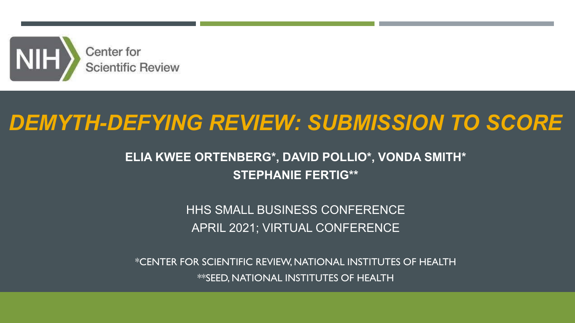

# *DEMYTH-DEFYING REVIEW: SUBMISSION TO SCORE*

### **ELIA KWEE ORTENBERG\*, DAVID POLLIO\*, VONDA SMITH\* STEPHANIE FERTIG\*\***

HHS SMALL BUSINESS CONFERENCE APRIL 2021; VIRTUAL CONFERENCE

\*CENTER FOR SCIENTIFIC REVIEW, NATIONAL INSTITUTES OF HEALTH \*\*SEED, NATIONAL INSTITUTES OF HEALTH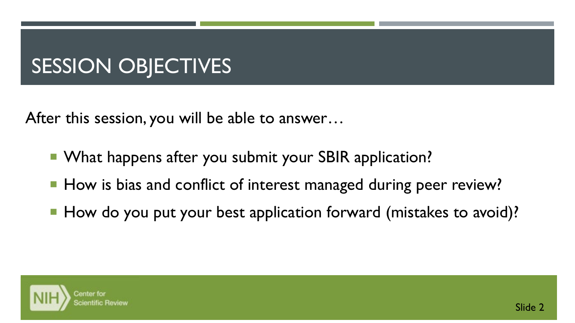# SESSION OBJECTIVES

After this session, you will be able to answer…

- What happens after you submit your SBIR application?
- How is bias and conflict of interest managed during peer review?
- How do you put your best application forward (mistakes to avoid)?

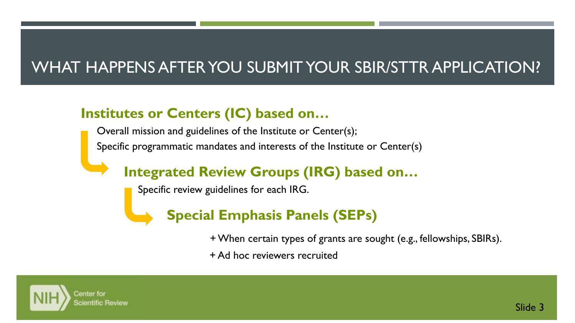## WHAT HAPPENS AFTER YOU SUBMIT YOUR SBIR/STTR APPLICATION?

### **Institutes or Centers (IC) based on…**

Overall mission and guidelines of the Institute or Center(s); Specific programmatic mandates and interests of the Institute or Center(s)

### **Integrated Review Groups (IRG) based on…**

Specific review guidelines for each IRG.



+ When certain types of grants are sought (e.g., fellowships, SBIRs).

+ Ad hoc reviewers recruited

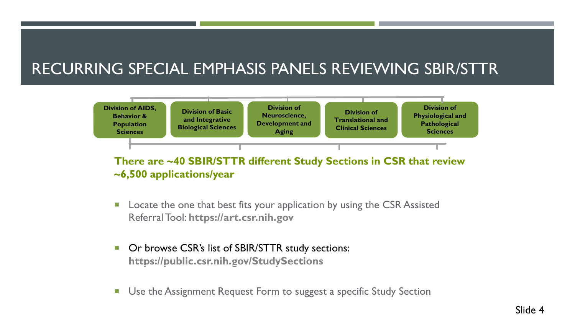### RECURRING SPECIAL EMPHASIS PANELS REVIEWING SBIR/STTR



There are ~40 SBIR/STTR different Study Sections in CSR that review **~6,500 applications/year**

- Locate the one that best fits your application by using the CSR Assisted Referral Tool: **[https://art.csr.nih.gov](https://art.csr.nih.gov/) or**
- Or browse CSR's list of SBIR/STTR study sections: **<https://public.csr.nih.gov/StudySections>**
- Use the Assignment Request Form to suggest a specific Study Section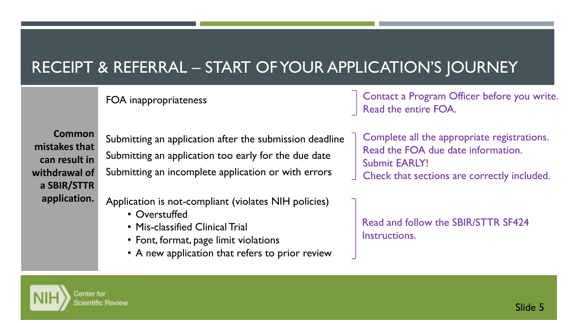### RECEIPT & REFERRAL – START OF YOUR APPLICATION'S JOURNEY

FOA inappropriateness

Contact a Program Officer before you write. Read the entire FOA.

**Common mistakes that can result in withdrawal of a SBIR/STTR application.**

Submitting an application after the submission deadline Submitting an application too early for the due date Submitting an incomplete application or with errors

Application is not-compliant (violates NIH policies)

- Overstuffed
- Mis-classified Clinical Trial
- Font, format, page limit violations
- A new application that refers to prior review

Complete all the appropriate registrations. Read the FOA due date information. Submit EARLY!

Check that sections are correctly included.

Read and follow the SBIR/STTR SF424 Instructions.

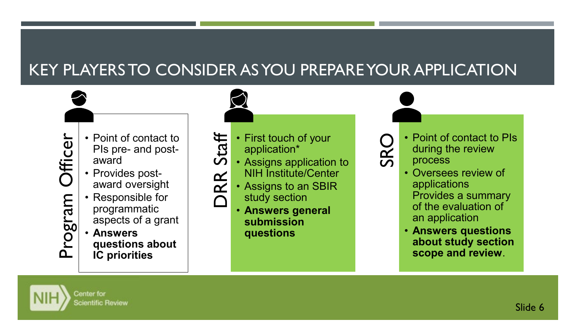## KEY PLAYERS TO CONSIDER AS YOU PREPARE YOUR APPLICATION

- 
- PIs pre- and postaward
- Provides postaward oversight
- Example 12 Point of contact to<br>PIs pre- and post-<br>award<br>• Provides post-<br>award oversight<br>• Responsible for<br>programmatic<br>aspects of a grant<br>• Answers<br>questions about<br>IC priorities • Responsible for programmatic aspects of a grant
	- **Answers questions about IC priorities**

teraction\*<br>
ORR Station\*<br>
ORR Staffan Staffen<br>
ORR Staffan Staffen<br>
Staffen Staffen<br>
Staffen Staffen<br>
Staffen Staffen<br>
Staffen Staffen<br>
Staffen Staffen<br>
Staffen Staffen<br>
Staffen Staffen<br>
Staffen Staffen<br>
Staffen Staffen<br> application\*

- Assigns application to
- NIH Institute/Center
- Assigns to an SBIR study section
- **Answers general submission questions**

- O Point of contact to PIs<br>during the review<br>O process during the review process
	- Oversees review of applications Provides a summary of the evaluation of an application
	- **Answers questions about study section scope and review**.

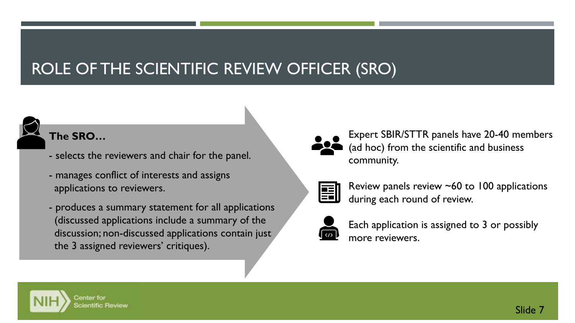## ROLE OF THE SCIENTIFIC REVIEW OFFICER (SRO)

### **The SRO…**

- selects the reviewers and chair for the panel.
- manages conflict of interests and assigns applications to reviewers.
- produces a summary statement for all applications (discussed applications include a summary of the discussion; non-discussed applications contain just the 3 assigned reviewers' critiques).



Expert SBIR/STTR panels have 20-40 members (ad hoc) from the scientific and business community.

Review panels review ~60 to 100 applications during each round of review.



Each application is assigned to 3 or possibly more reviewers.

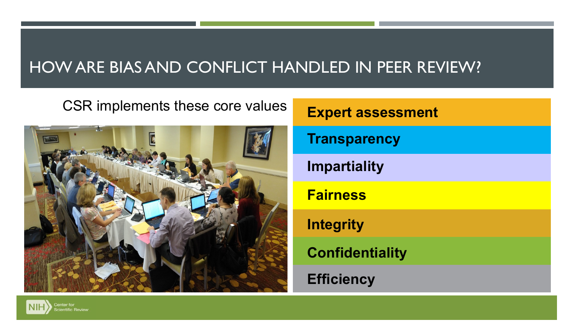### HOW ARE BIAS AND CONFLICT HANDLED IN PEER REVIEW?

## CSR implements these core values **Expert assessment**



# **Transparency Impartiality Fairness Integrity Confidentiality Efficiency**

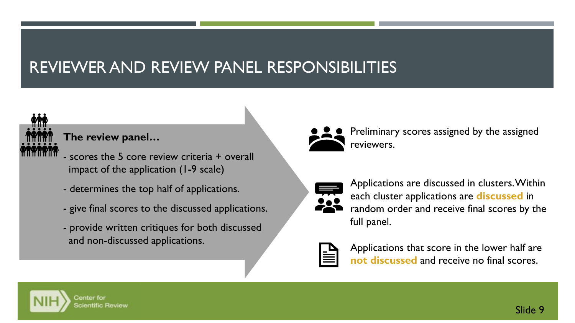## REVIEWER AND REVIEW PANEL RESPONSIBILITIES



**The review panel…**

- scores the 5 core review criteria + overall impact of the application (1-9 scale)
- determines the top half of applications.
- give final scores to the discussed applications.
- provide written critiques for both discussed and non-discussed applications.



Preliminary scores assigned by the assigned reviewers.



Applications are discussed in clusters. Within each cluster applications are **discussed** in random order and receive final scores by the full panel.



Applications that score in the lower half are **not discussed** and receive no final scores.

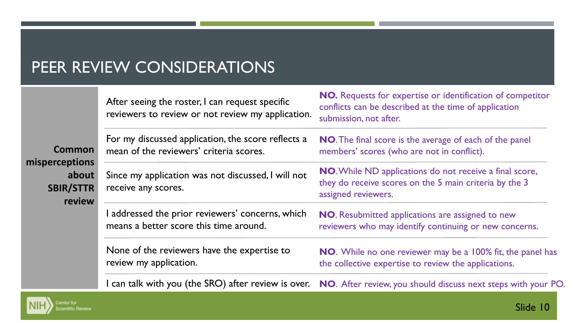### PEER REVIEW CONSIDERATIONS

er for ntific Review

| Common<br><b>misperceptions</b><br>about<br><b>SBIR/STTR</b><br>review | After seeing the roster, I can request specific<br>reviewers to review or not review my application. | <b>NO.</b> Requests for expertise or identification of competitor<br>conflicts can be described at the time of application<br>submission, not after. |
|------------------------------------------------------------------------|------------------------------------------------------------------------------------------------------|------------------------------------------------------------------------------------------------------------------------------------------------------|
|                                                                        | For my discussed application, the score reflects a<br>mean of the reviewers' criteria scores.        | NO. The final score is the average of each of the panel<br>members' scores (who are not in conflict).                                                |
|                                                                        | Since my application was not discussed, I will not<br>receive any scores.                            | <b>NO.</b> While ND applications do not receive a final score,<br>they do receive scores on the 5 main criteria by the 3<br>assigned reviewers.      |
|                                                                        | addressed the prior reviewers' concerns, which<br>means a better score this time around.             | <b>NO.</b> Resubmitted applications are assigned to new<br>reviewers who may identify continuing or new concerns.                                    |
|                                                                        | None of the reviewers have the expertise to<br>review my application.                                | <b>NO.</b> While no one reviewer may be a 100% fit, the panel has<br>the collective expertise to review the applications.                            |
|                                                                        |                                                                                                      | can talk with you (the SRO) after review is over. NO. After review, you should discuss next steps with your PO.                                      |

Slide 10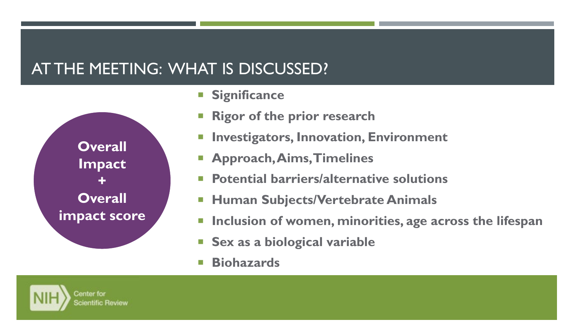### AT THE MEETING: WHAT IS DISCUSSED?

**Overall Impact + Overall impact score**

- **Significance**
- **Rigor of the prior research**
- **Investigators, Innovation, Environment**
- **Approach, Aims, Timelines**
- **Potential barriers/alternative solutions**
- **Human Subjects/Vertebrate Animals**
- **Inclusion of women, minorities, age across the lifespan**
- **Sex as a biological variable**
- **Biohazards**

Center for cientific Review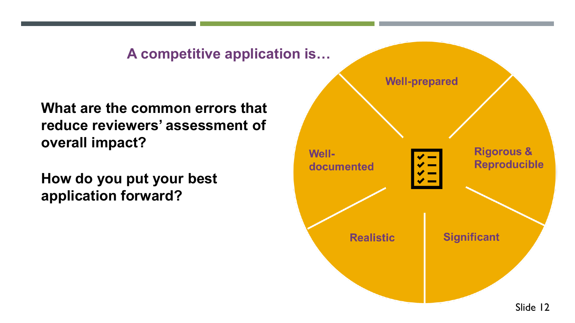### **A competitive application is…**

**What are the common errors that reduce reviewers' assessment of overall impact?**

**How do you put your best application forward?**

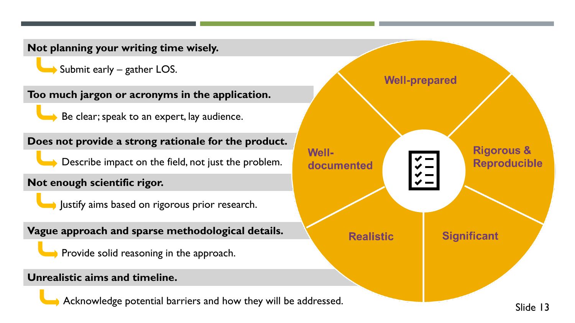**Not planning your writing time wisely.**  $\rightarrow$  Submit early – gather LOS. **Well-prepared Too much jargon or acronyms in the application.**  $\rightarrow$  Be clear; speak to an expert, lay audience. **Does not provide a strong rationale for the product. Rigorous & Well-**Describe impact on the field, not just the problem. **Reproducible** documented **Not enough scientific rigor.** Iustify aims based on rigorous prior research. **Vague approach and sparse methodological details. Realistic Significant** Provide solid reasoning in the approach. **Unrealistic aims and timeline.** Acknowledge potential barriers and how they will be addressed. Slide 13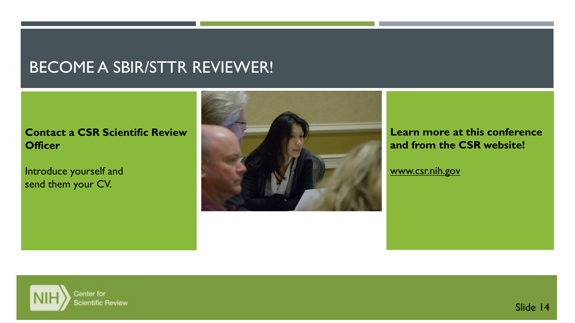### BECOME A SBIR/STTR REVIEWER!

### **Contact a CSR Scientific Review Officer**

Introduce yourself and send them your CV.



**Learn more at this conference and from the CSR website!**

[www.csr.nih.gov](http://www.csr.nih.gov/)

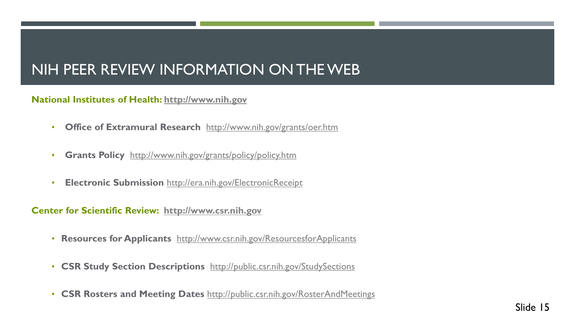### NIH PEER REVIEW INFORMATION ON THE WEB

### **National Institutes of Health: [http://www.nih.gov](http://www.nih.gov/)**

- **Office of Extramural Research** <http://www.nih.gov/grants/oer.htm>
- **Grants Policy** <http://www.nih.gov/grants/policy/policy.htm>
- **Electronic Submission** <http://era.nih.gov/ElectronicReceipt>

#### **Center for Scientific Review: [http://www.csr.nih.gov](http://www.csr.nih.gov/)**

- **Resources for Applicants** <http://www.csr.nih.gov/ResourcesforApplicants>
- **CSR Study Section Descriptions** <http://public.csr.nih.gov/StudySections>
- **CSR Rosters and Meeting Dates** <http://public.csr.nih.gov/RosterAndMeetings>